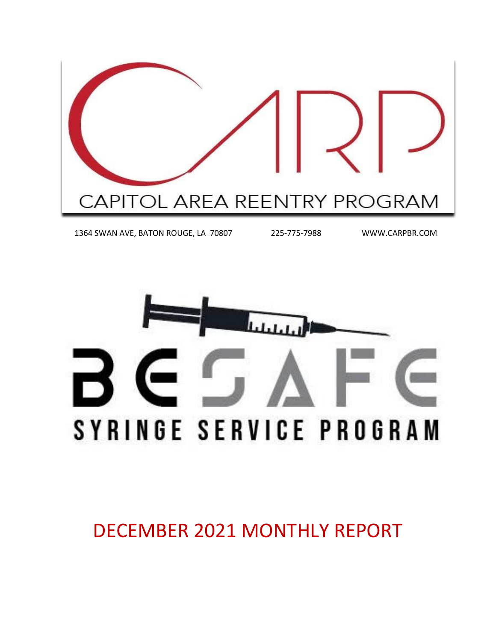

1364 SWAN AVE, BATON ROUGE, LA 70807 225-775-7988 WWW.CARPBR.COM



DECEMBER 2021 MONTHLY REPORT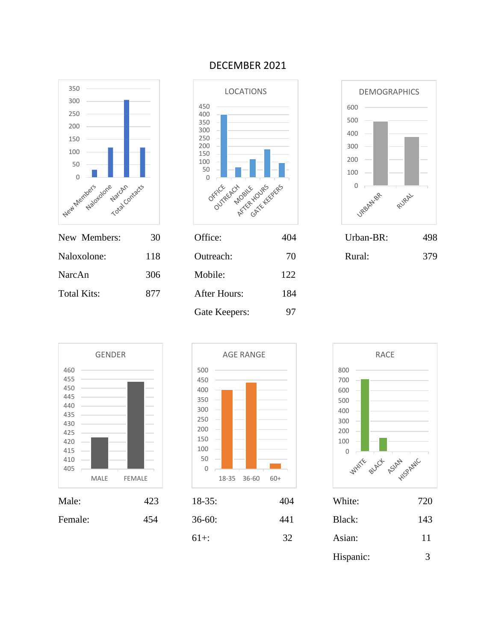

NarcAn 306 Mobile: 122

Total Kits: 877 After Hours: 184

#### DECEMBER 2021





MALE FEMALE

 



Gate Keepers: 97

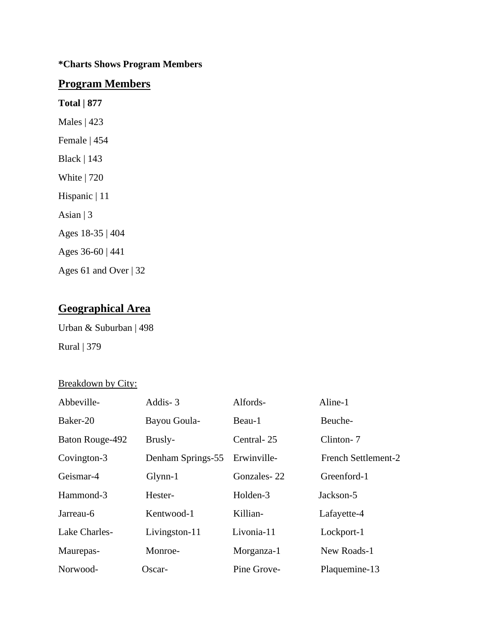#### **\*Charts Shows Program Members**

#### **Program Members**

**Total | 877** Males | 423 Female | 454 Black | 143 White | 720 Hispanic | 11 Asian  $|3$ Ages 18-35 | 404 Ages 36-60 | 441 Ages 61 and Over | 32

### **Geographical Area**

Urban & Suburban | 498 Rural | 379

#### Breakdown by City:

| Abbeville-      | Addis-3           | Alfords-    | Aline-1             |
|-----------------|-------------------|-------------|---------------------|
| Baker-20        | Bayou Goula-      | Beau-1      | Beuche-             |
| Baton Rouge-492 | Brusly-           | Central-25  | Clinton-7           |
| Covington-3     | Denham Springs-55 | Erwinville- | French Settlement-2 |
| Geismar-4       | $Glynn-1$         | Gonzales-22 | Greenford-1         |
| Hammond-3       | Hester-           | Holden-3    | Jackson-5           |
| Jarreau-6       | Kentwood-1        | Killian-    | Lafayette-4         |
| Lake Charles-   | Livingston-11     | Livonia-11  | Lockport-1          |
| Maurepas-       | Monroe-           | Morganza-1  | New Roads-1         |
| Norwood-        | Oscar-            | Pine Grove- | Plaquemine-13       |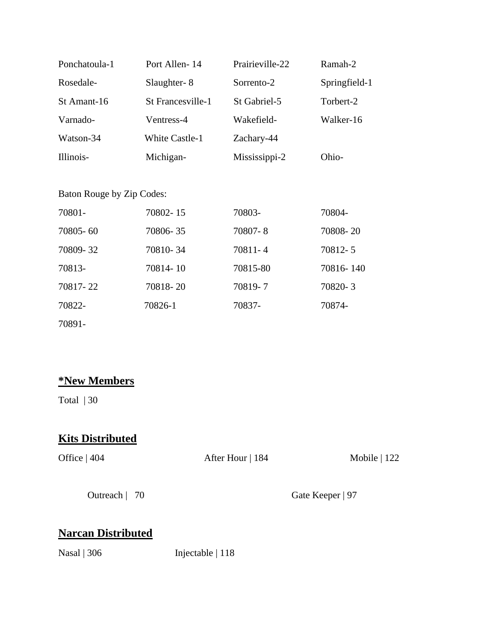| Ponchatoula-1 | Port Allen-14            | Prairieville-22 | Ramah-2       |
|---------------|--------------------------|-----------------|---------------|
| Rosedale-     | Slaughter-8              | Sorrento-2      | Springfield-1 |
| St Amant-16   | <b>St Francesville-1</b> | St Gabriel-5    | Torbert-2     |
| Varnado-      | Ventress-4               | Wakefield-      | Walker-16     |
| Watson-34     | <b>White Castle-1</b>    | Zachary-44      |               |
| Illinois-     | Michigan-                | Mississippi-2   | Ohio-         |
|               |                          |                 |               |

#### Baton Rouge by Zip Codes:

| 70801-   | 70802-15 | 70803-   | 70804-    |
|----------|----------|----------|-----------|
| 70805-60 | 70806-35 | 70807-8  | 70808-20  |
| 70809-32 | 70810-34 | 70811-4  | 70812-5   |
| 70813-   | 70814-10 | 70815-80 | 70816-140 |
| 70817-22 | 70818-20 | 70819-7  | 70820-3   |
| 70822-   | 70826-1  | 70837-   | 70874-    |
| 70891-   |          |          |           |

### **\*New Members**

Total | 30

# **Kits Distributed**

Office | 404 After Hour | 184 Mobile | 122

Outreach | 70 Gate Keeper | 97

## **Narcan Distributed**

Nasal | 306 Injectable | 118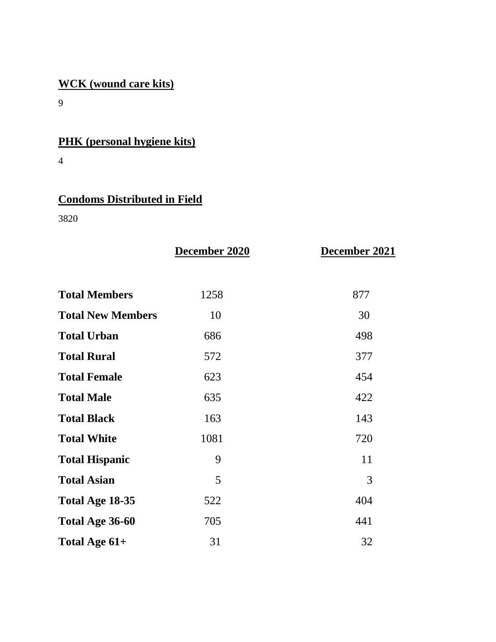# **WCK (wound care kits)**

9

# **PHK (personal hygiene kits)**

4

# **Condoms Distributed in Field**

3820

|                          | December 2020 | December 2021 |
|--------------------------|---------------|---------------|
| <b>Total Members</b>     | 1258          | 877           |
| <b>Total New Members</b> | 10            | 30            |
| <b>Total Urban</b>       | 686           | 498           |
| <b>Total Rural</b>       | 572           | 377           |
| <b>Total Female</b>      | 623           | 454           |
| <b>Total Male</b>        | 635           | 422           |
| <b>Total Black</b>       | 163           | 143           |
| <b>Total White</b>       | 1081          | 720           |
| <b>Total Hispanic</b>    | 9             | 11            |
| <b>Total Asian</b>       | 5             | 3             |
| Total Age 18-35          | 522           | 404           |
| Total Age 36-60          | 705           | 441           |
| Total Age 61+            | 31            | 32            |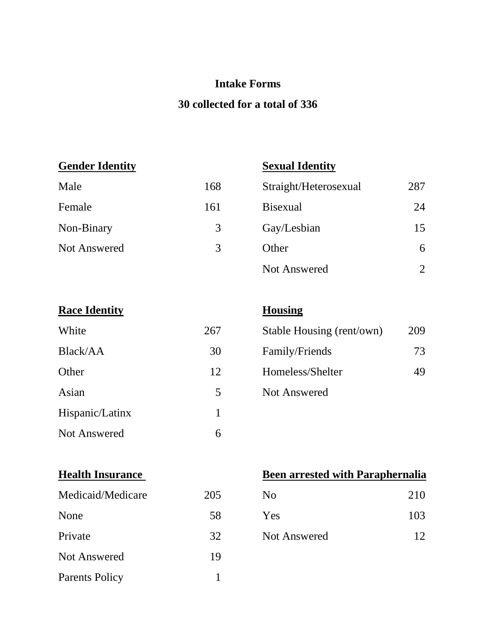### **Intake Forms**

### **30 collected for a total of 336**

**Gender Identity Sexual Identity**

| Male         | 168 | Straight/Heterosexual | 287 |
|--------------|-----|-----------------------|-----|
| Female       | 161 | <b>Bisexual</b>       | 24  |
| Non-Binary   | 3   | Gay/Lesbian           | 15  |
| Not Answered | 3   | Other                 | 6   |
|              |     | Not Answered          |     |

| White               | 267 | Stable Housing (rent/own) | $\tilde{ }$ |
|---------------------|-----|---------------------------|-------------|
| Black/AA            | 30  | Family/Friends            |             |
| Other               | 12  | Homeless/Shelter          |             |
| Asian               | 5   | <b>Not Answered</b>       |             |
| Hispanic/Latinx     |     |                           |             |
| <b>Not Answered</b> | 6   |                           |             |

# **Housing**

| White    | 267 | Stable Housing (rent/own) | 209 |
|----------|-----|---------------------------|-----|
| Black/AA | 30  | Family/Friends            | 73  |
| Other    | 12  | Homeless/Shelter          | 49  |
| Asian    | 5   | Not Answered              |     |

| Medicaid/Medicare     | 205 | N <sub>0</sub>      | 210 |
|-----------------------|-----|---------------------|-----|
| None                  | 58  | Yes                 | 103 |
| Private               | 32  | <b>Not Answered</b> | 12  |
| <b>Not Answered</b>   | 19  |                     |     |
| <b>Parents Policy</b> |     |                     |     |

### **Health Insurance Been arrested with Paraphernalia**

| N <sub>0</sub>      | 210 |
|---------------------|-----|
| Yes                 | 103 |
| <b>Not Answered</b> | 12  |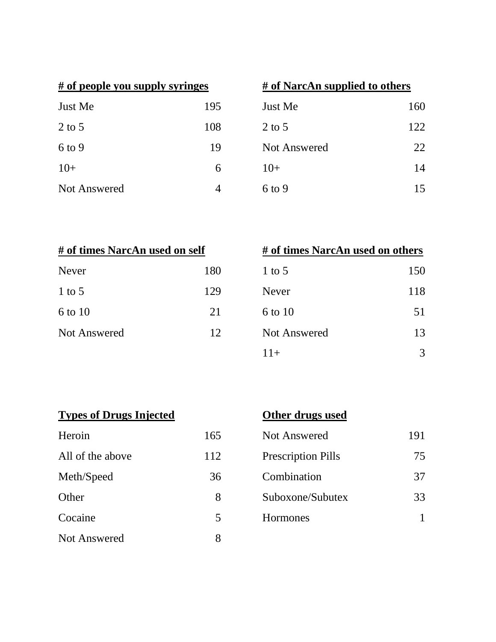| # of people you supply syringes |     | # of NarcAn supplied to others |  |
|---------------------------------|-----|--------------------------------|--|
| Just Me                         | 195 | Just Me                        |  |
| $2$ to 5                        | 108 | $2$ to 5                       |  |
| $6$ to 9                        | 19  | <b>Not Answered</b>            |  |
| $10+$                           | 6   | $10+$                          |  |
| Not Answered                    |     | 6 to 9                         |  |

| # of people you supply syringes |     | # of NarcAn supplied to others |     |
|---------------------------------|-----|--------------------------------|-----|
| Just Me                         | 195 | Just Me                        | 160 |
| 2 to 5                          | 108 | $2$ to 5                       | 122 |
| $6$ to 9                        | 19  | <b>Not Answered</b>            | 22  |
| $10+$                           | 6   | $10+$                          | 14  |
| <b>Not Answered</b>             | 4   | $6$ to 9                       | 15  |

| # of times NarcAn used on self |  |  |
|--------------------------------|--|--|
| 180                            |  |  |
| 129                            |  |  |
| 21                             |  |  |
| 12 <sub>1</sub>                |  |  |
|                                |  |  |

| # of times NarcAn used on self |     | # of times NarcAn used on others |     |
|--------------------------------|-----|----------------------------------|-----|
| Never                          | 180 | $1$ to 5                         | 150 |
| $1$ to $5$                     | 129 | <b>Never</b>                     | 118 |
| 6 to 10                        | 21  | 6 to 10                          | 51  |
| <b>Not Answered</b>            | 12  | <b>Not Answered</b>              | 13  |
|                                |     | $11+$                            | 3   |

|  | <b>Types of Drugs Injected</b> |  |
|--|--------------------------------|--|
|  |                                |  |

| Heroin              | 165 |
|---------------------|-----|
| All of the above    | 112 |
| Meth/Speed          | 36  |
| Other               | 8   |
| Cocaine             | 5   |
| <b>Not Answered</b> |     |

# **Other drugs used**

| 165 | Not Answered              | 191 |
|-----|---------------------------|-----|
| 112 | <b>Prescription Pills</b> | 75  |
| 36  | Combination               | 37  |
| 8   | Suboxone/Subutex          | 33  |
|     | <b>Hormones</b>           |     |
|     |                           |     |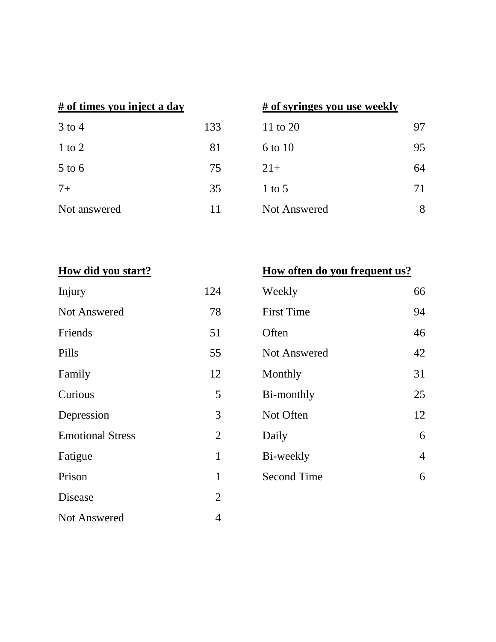| $3$ to 4     | 133 |
|--------------|-----|
| $1$ to $2$   | 81  |
| $5$ to 6     | 75  |
| $7+$         | 35  |
| Not answered | 11  |

### **# of times you inject a day # of syringes you use weekly**

| 133 | 11 to 20     | 97 |
|-----|--------------|----|
| 81  | 6 to 10      | 95 |
| 75  | $21+$        | 64 |
| 35  | $1$ to 5     | 71 |
| 11  | Not Answered | 8  |
|     |              |    |

| Injury                  | 124            |
|-------------------------|----------------|
| <b>Not Answered</b>     | 78             |
| Friends                 | 51             |
| Pills                   | 55             |
| Family                  | 12             |
| Curious                 | 5              |
| Depression              | 3              |
| <b>Emotional Stress</b> | $\overline{2}$ |
| Fatigue                 | $\mathbf{1}$   |
| Prison                  | 1              |
| Disease                 | $\overline{2}$ |
| <b>Not Answered</b>     | 4              |

# **How did you start? How often do you frequent us?**

| Injury                  | 124            | Weekly             | 66             |
|-------------------------|----------------|--------------------|----------------|
| <b>Not Answered</b>     | 78             | <b>First Time</b>  | 94             |
| Friends                 | 51             | Often              | 46             |
| Pills                   | 55             | Not Answered       | 42             |
| Family                  | 12             | Monthly            | 31             |
| Curious                 | 5              | Bi-monthly         | 25             |
| Depression              | 3              | Not Often          | 12             |
| <b>Emotional Stress</b> | $\overline{2}$ | Daily              | 6              |
| Fatigue                 | 1              | Bi-weekly          | $\overline{4}$ |
| Prison                  | 1              | <b>Second Time</b> | 6              |
|                         |                |                    |                |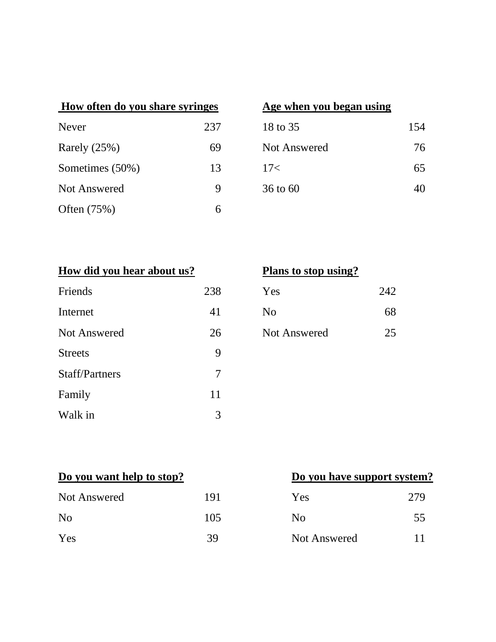| How often do you share syringes |     | Age when you began using |     |
|---------------------------------|-----|--------------------------|-----|
| Never                           | 237 | 18 to 35                 | 154 |
| Rarely $(25%)$                  | 69  | <b>Not Answered</b>      | 76  |
| Sometimes (50%)                 | 13  | 17<                      | 65  |
| <b>Not Answered</b>             | 9   | $36$ to $60$             | 40  |
| Often $(75%)$                   | 6   |                          |     |

### **Age when you began using**

| 18 to 35     | 154 |
|--------------|-----|
| Not Answered | 76  |
| 17<          | 65  |
| 36 to 60     |     |

|  |  | How did you hear about us? |  |
|--|--|----------------------------|--|
|  |  |                            |  |

| Friends               | 238 | Yes                 | 242 |
|-----------------------|-----|---------------------|-----|
| Internet              | 41  | N <sub>o</sub>      | 68  |
| <b>Not Answered</b>   | 26  | <b>Not Answered</b> | 25  |
| <b>Streets</b>        | 9   |                     |     |
| <b>Staff/Partners</b> | 7   |                     |     |
| Family                | 11  |                     |     |
| Walk in               | 3   |                     |     |

# **Plans to stop using?**

| Yes                 | 242 |
|---------------------|-----|
| N <sub>0</sub>      | 68  |
| <b>Not Answered</b> | 25  |

| <b>Not Answered</b> | 191 | Yes                 | 279 |
|---------------------|-----|---------------------|-----|
| N <sub>o</sub>      | 105 | No                  | 55  |
| Yes                 | 39  | <b>Not Answered</b> |     |

# **Do you want help to stop? Do you have support system?**

| Yes            | 279 |
|----------------|-----|
| N <sub>0</sub> | 55  |
| Not Answered   | 11  |